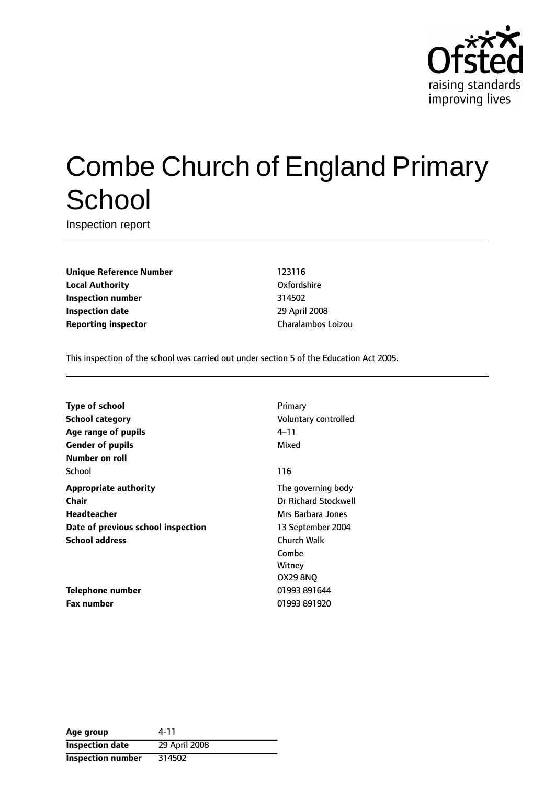

# Combe Church of England Primary **School**

Inspection report

**Unique Reference Number** 123116 **Local Authority** Oxfordshire **Inspection number** 314502 **Inspection date** 29 April 2008 **Reporting inspector** Charalambos Loizou

This inspection of the school was carried out under section 5 of the Education Act 2005.

**Type of school** Primary **School category CONSIDER SCHOOL CATEGORY** Voluntary controlled **Age** range of pupils **Age** *Pupils* 4-11 **Gender of pupils** Mixed **Number on roll** School and the second second second second second second second second second second second second second second second second second second second second second second second second second second second second second seco **Appropriate authority** The governing body **Chair** Dr Richard Stockwell **Headteacher** Mrs Barbara Jones **Date of previous school inspection** 13 September 2004 **School address** Church Walk

**Telephone number** 01993 891644 **Fax number** 01993 891920

Combe **Witney** OX29 8NQ

| Age group                | 4-11          |
|--------------------------|---------------|
| <b>Inspection date</b>   | 29 April 2008 |
| <b>Inspection number</b> | 314502        |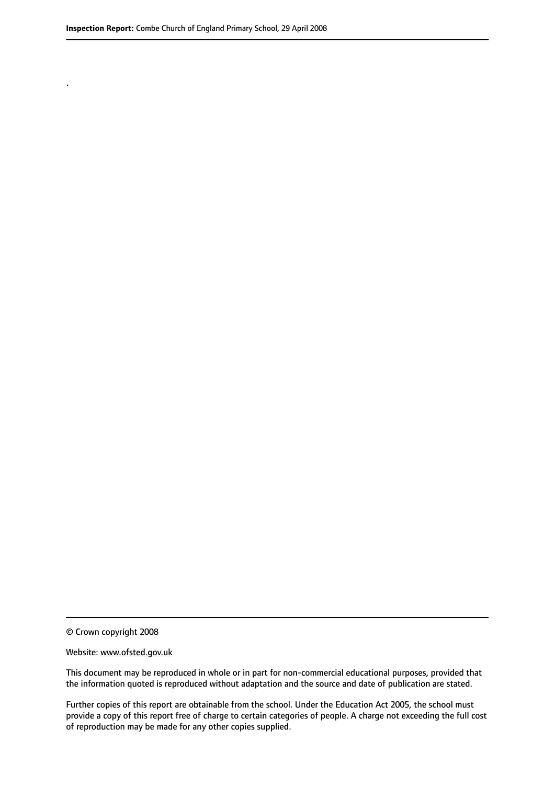.

© Crown copyright 2008

#### Website: www.ofsted.gov.uk

This document may be reproduced in whole or in part for non-commercial educational purposes, provided that the information quoted is reproduced without adaptation and the source and date of publication are stated.

Further copies of this report are obtainable from the school. Under the Education Act 2005, the school must provide a copy of this report free of charge to certain categories of people. A charge not exceeding the full cost of reproduction may be made for any other copies supplied.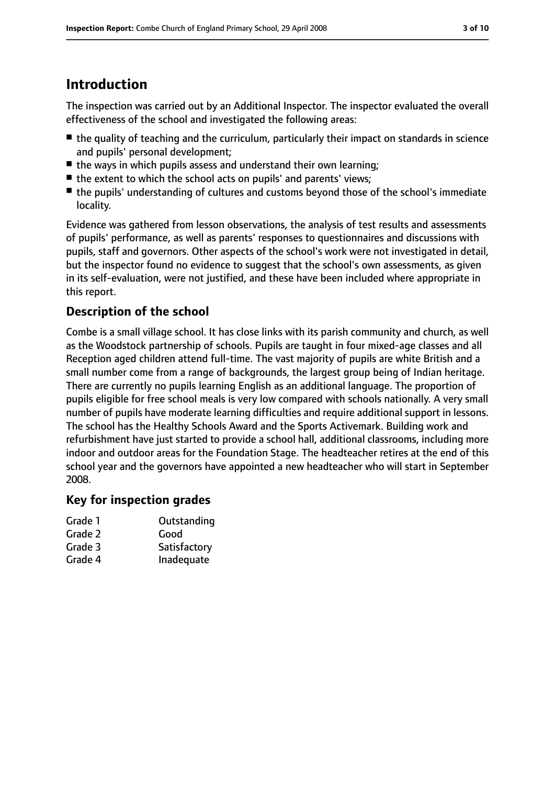# **Introduction**

The inspection was carried out by an Additional Inspector. The inspector evaluated the overall effectiveness of the school and investigated the following areas:

- the quality of teaching and the curriculum, particularly their impact on standards in science and pupils' personal development;
- the ways in which pupils assess and understand their own learning;
- the extent to which the school acts on pupils' and parents' views;
- the pupils' understanding of cultures and customs beyond those of the school's immediate locality.

Evidence was gathered from lesson observations, the analysis of test results and assessments of pupils' performance, as well as parents' responses to questionnaires and discussions with pupils, staff and governors. Other aspects of the school's work were not investigated in detail, but the inspector found no evidence to suggest that the school's own assessments, as given in its self-evaluation, were not justified, and these have been included where appropriate in this report.

# **Description of the school**

Combe is a small village school. It has close links with its parish community and church, as well as the Woodstock partnership of schools. Pupils are taught in four mixed-age classes and all Reception aged children attend full-time. The vast majority of pupils are white British and a small number come from a range of backgrounds, the largest group being of Indian heritage. There are currently no pupils learning English as an additional language. The proportion of pupils eligible for free school meals is very low compared with schools nationally. A very small number of pupils have moderate learning difficulties and require additional support in lessons. The school has the Healthy Schools Award and the Sports Activemark. Building work and refurbishment have just started to provide a school hall, additional classrooms, including more indoor and outdoor areas for the Foundation Stage. The headteacher retires at the end of this school year and the governors have appointed a new headteacher who will start in September 2008.

# **Key for inspection grades**

| Outstanding  |
|--------------|
| Good         |
| Satisfactory |
| Inadequate   |
|              |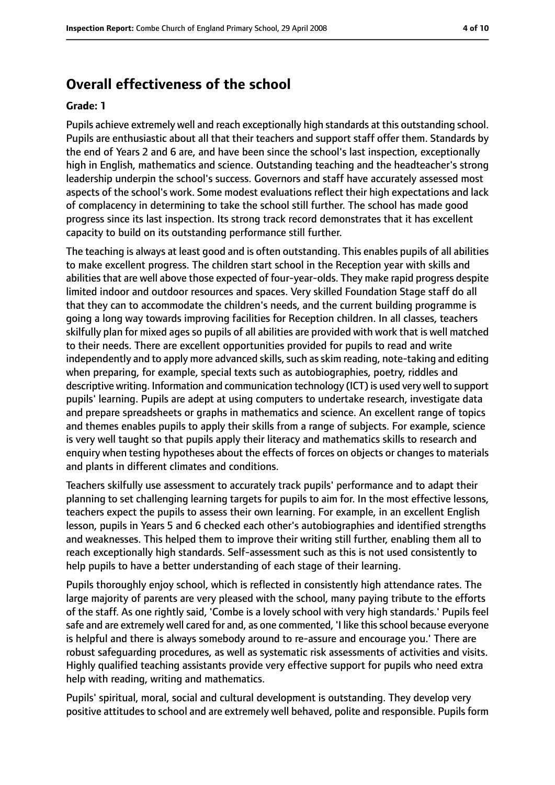# **Overall effectiveness of the school**

#### **Grade: 1**

Pupils achieve extremely well and reach exceptionally high standards at this outstanding school. Pupils are enthusiastic about all that their teachers and support staff offer them. Standards by the end of Years 2 and 6 are, and have been since the school's last inspection, exceptionally high in English, mathematics and science. Outstanding teaching and the headteacher's strong leadership underpin the school's success. Governors and staff have accurately assessed most aspects of the school's work. Some modest evaluations reflect their high expectations and lack of complacency in determining to take the school still further. The school has made good progress since its last inspection. Its strong track record demonstrates that it has excellent capacity to build on its outstanding performance still further.

The teaching is always at least good and is often outstanding. This enables pupils of all abilities to make excellent progress. The children start school in the Reception year with skills and abilities that are well above those expected of four-year-olds. They make rapid progress despite limited indoor and outdoor resources and spaces. Very skilled Foundation Stage staff do all that they can to accommodate the children's needs, and the current building programme is going a long way towards improving facilities for Reception children. In all classes, teachers skilfully plan for mixed ages so pupils of all abilities are provided with work that is well matched to their needs. There are excellent opportunities provided for pupils to read and write independently and to apply more advanced skills, such as skim reading, note-taking and editing when preparing, for example, special texts such as autobiographies, poetry, riddles and descriptive writing. Information and communication technology (ICT) is used very well to support pupils' learning. Pupils are adept at using computers to undertake research, investigate data and prepare spreadsheets or graphs in mathematics and science. An excellent range of topics and themes enables pupils to apply their skills from a range of subjects. For example, science is very well taught so that pupils apply their literacy and mathematics skills to research and enquiry when testing hypotheses about the effects of forces on objects or changes to materials and plants in different climates and conditions.

Teachers skilfully use assessment to accurately track pupils' performance and to adapt their planning to set challenging learning targets for pupils to aim for. In the most effective lessons, teachers expect the pupils to assess their own learning. For example, in an excellent English lesson, pupils in Years 5 and 6 checked each other's autobiographies and identified strengths and weaknesses. This helped them to improve their writing still further, enabling them all to reach exceptionally high standards. Self-assessment such as this is not used consistently to help pupils to have a better understanding of each stage of their learning.

Pupils thoroughly enjoy school, which is reflected in consistently high attendance rates. The large majority of parents are very pleased with the school, many paying tribute to the efforts of the staff. As one rightly said, 'Combe is a lovely school with very high standards.' Pupils feel safe and are extremely well cared for and, as one commented, 'I like this school because everyone is helpful and there is always somebody around to re-assure and encourage you.' There are robust safeguarding procedures, as well as systematic risk assessments of activities and visits. Highly qualified teaching assistants provide very effective support for pupils who need extra help with reading, writing and mathematics.

Pupils' spiritual, moral, social and cultural development is outstanding. They develop very positive attitudes to school and are extremely well behaved, polite and responsible. Pupils form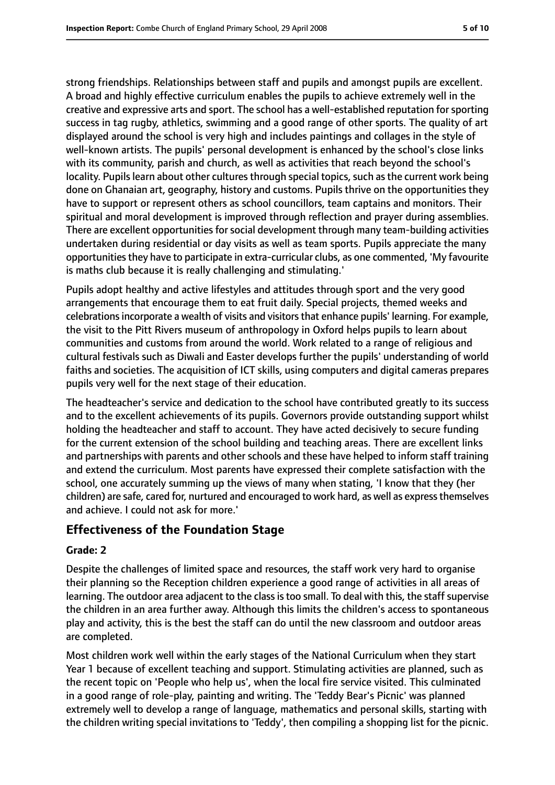strong friendships. Relationships between staff and pupils and amongst pupils are excellent. A broad and highly effective curriculum enables the pupils to achieve extremely well in the creative and expressive arts and sport. The school has a well-established reputation for sporting success in tag rugby, athletics, swimming and a good range of other sports. The quality of art displayed around the school is very high and includes paintings and collages in the style of well-known artists. The pupils' personal development is enhanced by the school's close links with its community, parish and church, as well as activities that reach beyond the school's locality. Pupils learn about other cultures through special topics, such as the current work being done on Ghanaian art, geography, history and customs. Pupils thrive on the opportunities they have to support or represent others as school councillors, team captains and monitors. Their spiritual and moral development is improved through reflection and prayer during assemblies. There are excellent opportunities for social development through many team-building activities undertaken during residential or day visits as well as team sports. Pupils appreciate the many opportunities they have to participate in extra-curricular clubs, as one commented, 'My favourite is maths club because it is really challenging and stimulating.'

Pupils adopt healthy and active lifestyles and attitudes through sport and the very good arrangements that encourage them to eat fruit daily. Special projects, themed weeks and celebrations incorporate a wealth of visits and visitors that enhance pupils' learning. For example, the visit to the Pitt Rivers museum of anthropology in Oxford helps pupils to learn about communities and customs from around the world. Work related to a range of religious and cultural festivals such as Diwali and Easter develops further the pupils' understanding of world faiths and societies. The acquisition of ICT skills, using computers and digital cameras prepares pupils very well for the next stage of their education.

The headteacher's service and dedication to the school have contributed greatly to its success and to the excellent achievements of its pupils. Governors provide outstanding support whilst holding the headteacher and staff to account. They have acted decisively to secure funding for the current extension of the school building and teaching areas. There are excellent links and partnerships with parents and other schools and these have helped to inform staff training and extend the curriculum. Most parents have expressed their complete satisfaction with the school, one accurately summing up the views of many when stating, 'I know that they (her children) are safe, cared for, nurtured and encouraged to work hard, as well as expressthemselves and achieve. I could not ask for more.'

### **Effectiveness of the Foundation Stage**

### **Grade: 2**

Despite the challenges of limited space and resources, the staff work very hard to organise their planning so the Reception children experience a good range of activities in all areas of learning. The outdoor area adjacent to the class is too small. To deal with this, the staff supervise the children in an area further away. Although this limits the children's access to spontaneous play and activity, this is the best the staff can do until the new classroom and outdoor areas are completed.

Most children work well within the early stages of the National Curriculum when they start Year 1 because of excellent teaching and support. Stimulating activities are planned, such as the recent topic on 'People who help us', when the local fire service visited. This culminated in a good range of role-play, painting and writing. The 'Teddy Bear's Picnic' was planned extremely well to develop a range of language, mathematics and personal skills, starting with the children writing special invitations to 'Teddy', then compiling a shopping list for the picnic.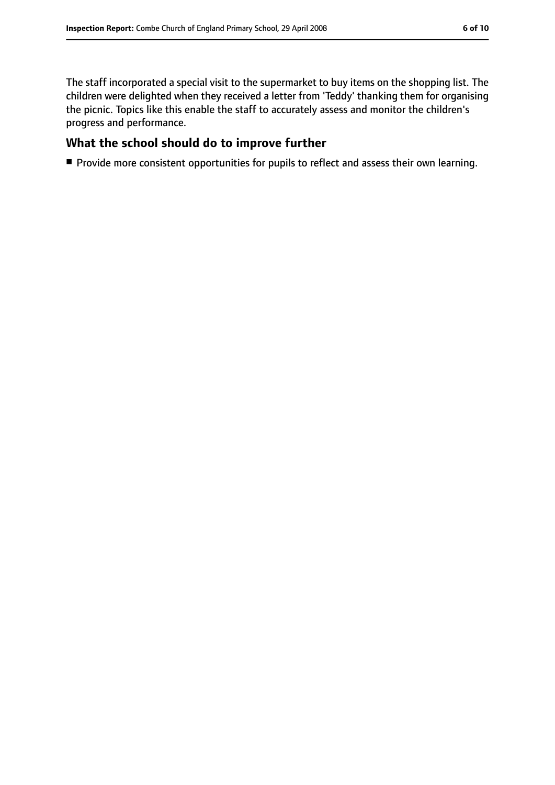The staff incorporated a special visit to the supermarket to buy items on the shopping list. The children were delighted when they received a letter from 'Teddy' thanking them for organising the picnic. Topics like this enable the staff to accurately assess and monitor the children's progress and performance.

### **What the school should do to improve further**

■ Provide more consistent opportunities for pupils to reflect and assess their own learning.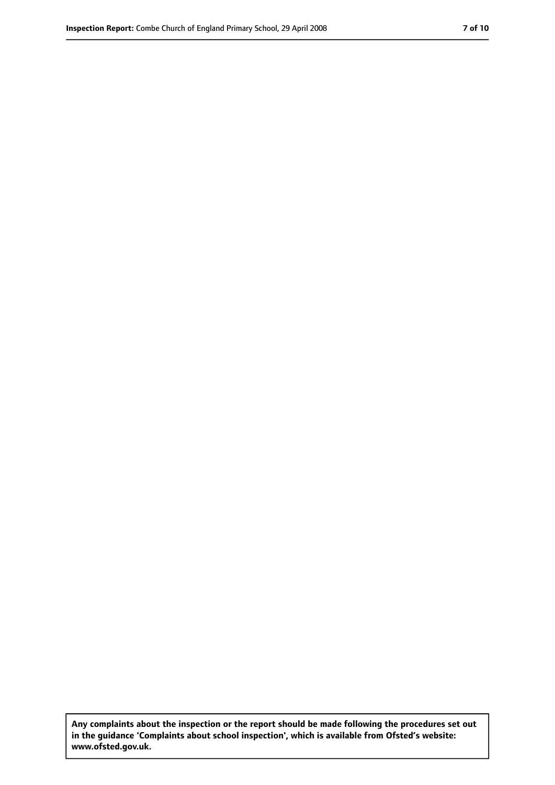**Any complaints about the inspection or the report should be made following the procedures set out in the guidance 'Complaints about school inspection', which is available from Ofsted's website: www.ofsted.gov.uk.**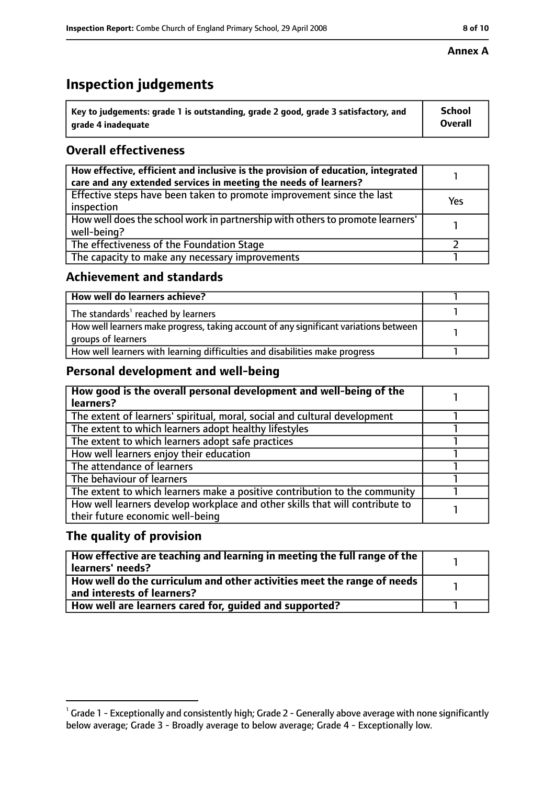# **Inspection judgements**

| $^{\backprime}$ Key to judgements: grade 1 is outstanding, grade 2 good, grade 3 satisfactory, and | <b>School</b>  |
|----------------------------------------------------------------------------------------------------|----------------|
| arade 4 inadequate                                                                                 | <b>Overall</b> |

# **Overall effectiveness**

| How effective, efficient and inclusive is the provision of education, integrated<br>care and any extended services in meeting the needs of learners? |     |
|------------------------------------------------------------------------------------------------------------------------------------------------------|-----|
| Effective steps have been taken to promote improvement since the last<br>inspection                                                                  | Yes |
| How well does the school work in partnership with others to promote learners'<br>well-being?                                                         |     |
| The effectiveness of the Foundation Stage                                                                                                            |     |
| The capacity to make any necessary improvements                                                                                                      |     |

### **Achievement and standards**

| How well do learners achieve?                                                                               |  |
|-------------------------------------------------------------------------------------------------------------|--|
| The standards <sup>1</sup> reached by learners                                                              |  |
| How well learners make progress, taking account of any significant variations between<br>groups of learners |  |
| How well learners with learning difficulties and disabilities make progress                                 |  |

# **Personal development and well-being**

| How good is the overall personal development and well-being of the<br>learners?                                  |  |
|------------------------------------------------------------------------------------------------------------------|--|
| The extent of learners' spiritual, moral, social and cultural development                                        |  |
| The extent to which learners adopt healthy lifestyles                                                            |  |
| The extent to which learners adopt safe practices                                                                |  |
| How well learners enjoy their education                                                                          |  |
| The attendance of learners                                                                                       |  |
| The behaviour of learners                                                                                        |  |
| The extent to which learners make a positive contribution to the community                                       |  |
| How well learners develop workplace and other skills that will contribute to<br>their future economic well-being |  |

# **The quality of provision**

| How effective are teaching and learning in meeting the full range of the<br>learners' needs?          |  |
|-------------------------------------------------------------------------------------------------------|--|
| How well do the curriculum and other activities meet the range of needs<br>and interests of learners? |  |
| How well are learners cared for, quided and supported?                                                |  |

 $^1$  Grade 1 - Exceptionally and consistently high; Grade 2 - Generally above average with none significantly below average; Grade 3 - Broadly average to below average; Grade 4 - Exceptionally low.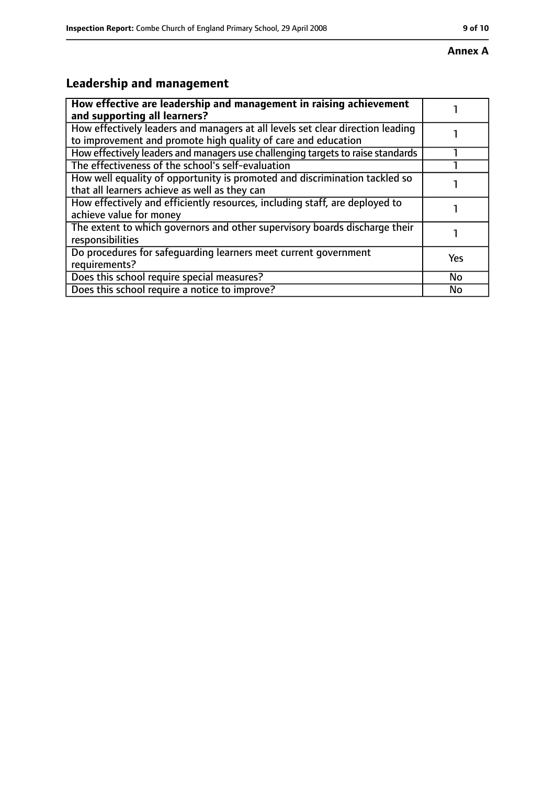#### **Annex A**

# **Leadership and management**

| How effective are leadership and management in raising achievement<br>and supporting all learners?                                              |     |
|-------------------------------------------------------------------------------------------------------------------------------------------------|-----|
| How effectively leaders and managers at all levels set clear direction leading<br>to improvement and promote high quality of care and education |     |
| How effectively leaders and managers use challenging targets to raise standards                                                                 |     |
| The effectiveness of the school's self-evaluation                                                                                               |     |
| How well equality of opportunity is promoted and discrimination tackled so<br>that all learners achieve as well as they can                     |     |
| How effectively and efficiently resources, including staff, are deployed to<br>achieve value for money                                          |     |
| The extent to which governors and other supervisory boards discharge their<br>responsibilities                                                  |     |
| Do procedures for safequarding learners meet current government<br>requirements?                                                                | Yes |
| Does this school require special measures?                                                                                                      | No  |
| Does this school require a notice to improve?                                                                                                   | No  |